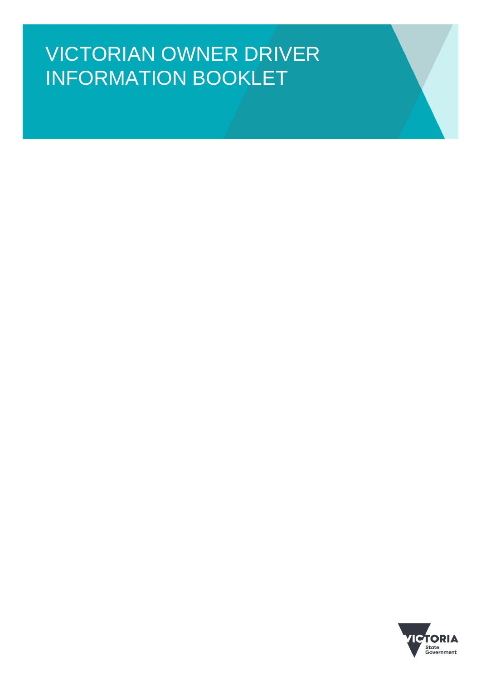# VICTORIAN OWNER DRIVER INFORMATION BOOKLET

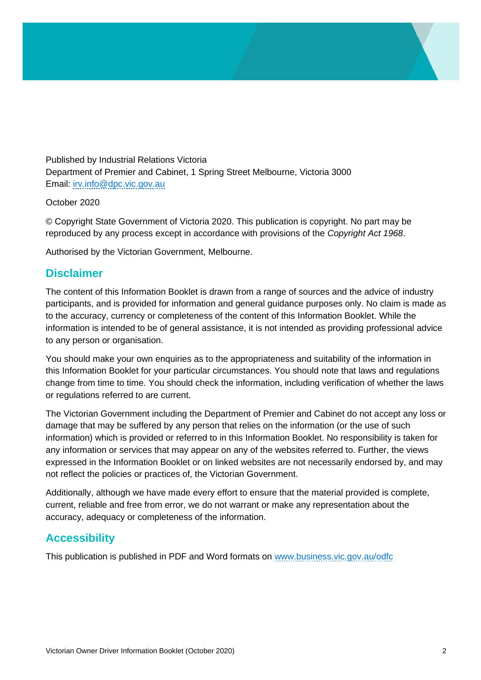Published by Industrial Relations Victoria Department of Premier and Cabinet, 1 Spring Street Melbourne, Victoria 3000 Email: [irv.info@dpc.vic.gov.au](mailto:irv.info@dpc.vic.gov.au)

October 2020

© Copyright State Government of Victoria 2020. This publication is copyright. No part may be reproduced by any process except in accordance with provisions of the *Copyright Act 1968*.

Authorised by the Victorian Government, Melbourne.

#### **Disclaimer**

The content of this Information Booklet is drawn from a range of sources and the advice of industry participants, and is provided for information and general guidance purposes only. No claim is made as to the accuracy, currency or completeness of the content of this Information Booklet. While the information is intended to be of general assistance, it is not intended as providing professional advice to any person or organisation.

You should make your own enquiries as to the appropriateness and suitability of the information in this Information Booklet for your particular circumstances. You should note that laws and regulations change from time to time. You should check the information, including verification of whether the laws or regulations referred to are current.

The Victorian Government including the Department of Premier and Cabinet do not accept any loss or damage that may be suffered by any person that relies on the information (or the use of such information) which is provided or referred to in this Information Booklet. No responsibility is taken for any information or services that may appear on any of the websites referred to. Further, the views expressed in the Information Booklet or on linked websites are not necessarily endorsed by, and may not reflect the policies or practices of, the Victorian Government.

Additionally, although we have made every effort to ensure that the material provided is complete, current, reliable and free from error, we do not warrant or make any representation about the accuracy, adequacy or completeness of the information.

## **Accessibility**

This publication is published in PDF and Word formats on [www.business.vic.gov.au/odfc](http://www.business.vic.gov.au/odfc)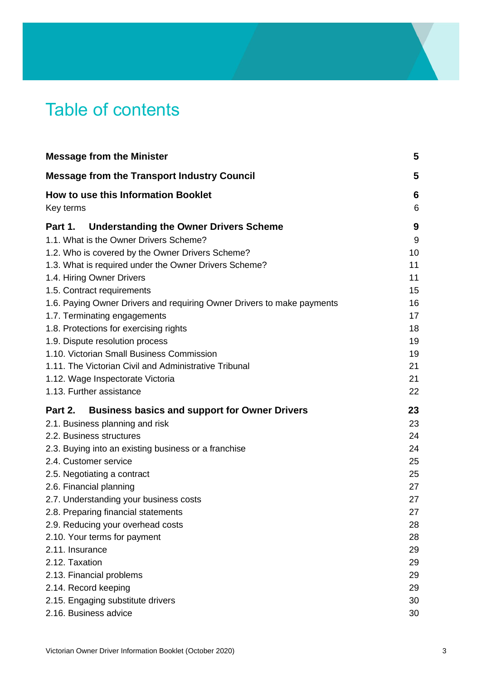# Table of contents

| <b>Message from the Minister</b>                                       | 5      |
|------------------------------------------------------------------------|--------|
| <b>Message from the Transport Industry Council</b>                     | 5      |
| How to use this Information Booklet<br>Key terms                       | 6<br>6 |
| <b>Understanding the Owner Drivers Scheme</b><br>Part 1.               | 9      |
| 1.1. What is the Owner Drivers Scheme?                                 | 9      |
| 1.2. Who is covered by the Owner Drivers Scheme?                       | 10     |
| 1.3. What is required under the Owner Drivers Scheme?                  | 11     |
| 1.4. Hiring Owner Drivers                                              | 11     |
| 1.5. Contract requirements                                             | 15     |
| 1.6. Paying Owner Drivers and requiring Owner Drivers to make payments | 16     |
| 1.7. Terminating engagements                                           | 17     |
| 1.8. Protections for exercising rights                                 | 18     |
| 1.9. Dispute resolution process                                        | 19     |
| 1.10. Victorian Small Business Commission                              | 19     |
| 1.11. The Victorian Civil and Administrative Tribunal                  | 21     |
| 1.12. Wage Inspectorate Victoria                                       | 21     |
| 1.13. Further assistance                                               | 22     |
| Part 2.<br><b>Business basics and support for Owner Drivers</b>        | 23     |
| 2.1. Business planning and risk                                        | 23     |
| 2.2. Business structures                                               | 24     |
| 2.3. Buying into an existing business or a franchise                   | 24     |
| 2.4. Customer service                                                  | 25     |
| 2.5. Negotiating a contract                                            | 25     |
| 2.6. Financial planning                                                | 27     |
| 2.7. Understanding your business costs                                 | 27     |
| 2.8. Preparing financial statements                                    | 27     |
| 2.9. Reducing your overhead costs                                      | 28     |
| 2.10. Your terms for payment                                           | 28     |
| 2.11. Insurance                                                        | 29     |
| 2.12. Taxation                                                         | 29     |
| 2.13. Financial problems                                               | 29     |
| 2.14. Record keeping                                                   | 29     |
| 2.15. Engaging substitute drivers                                      | 30     |
| 2.16. Business advice                                                  | 30     |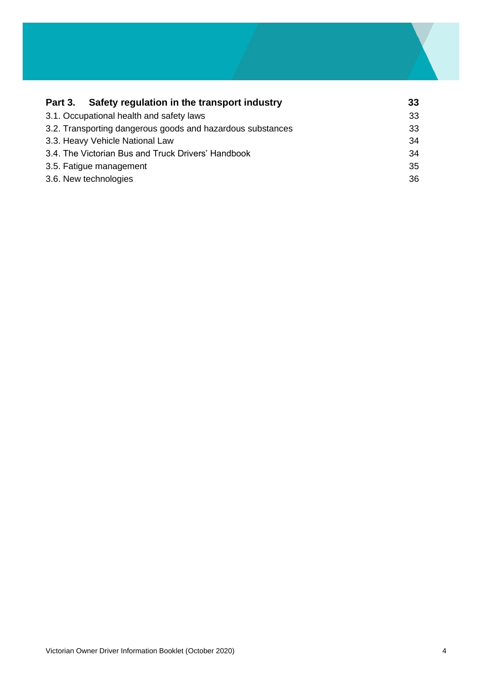| Safety regulation in the transport industry<br>Part 3.     | 33 |
|------------------------------------------------------------|----|
| 3.1. Occupational health and safety laws                   | 33 |
| 3.2. Transporting dangerous goods and hazardous substances | 33 |
| 3.3. Heavy Vehicle National Law                            | 34 |
| 3.4. The Victorian Bus and Truck Drivers' Handbook         | 34 |
| 3.5. Fatigue management                                    | 35 |
| 3.6. New technologies                                      | 36 |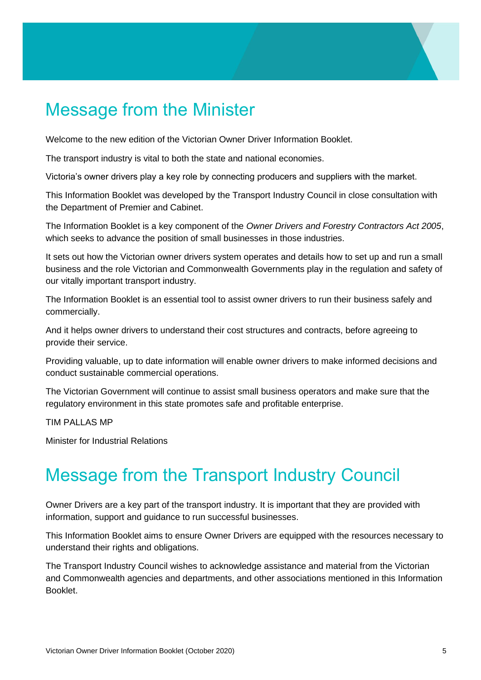# <span id="page-4-0"></span>Message from the Minister

Welcome to the new edition of the Victorian Owner Driver Information Booklet.

The transport industry is vital to both the state and national economies.

Victoria's owner drivers play a key role by connecting producers and suppliers with the market.

This Information Booklet was developed by the Transport Industry Council in close consultation with the Department of Premier and Cabinet.

The Information Booklet is a key component of the *Owner Drivers and Forestry Contractors Act 2005*, which seeks to advance the position of small businesses in those industries.

It sets out how the Victorian owner drivers system operates and details how to set up and run a small business and the role Victorian and Commonwealth Governments play in the regulation and safety of our vitally important transport industry.

The Information Booklet is an essential tool to assist owner drivers to run their business safely and commercially.

And it helps owner drivers to understand their cost structures and contracts, before agreeing to provide their service.

Providing valuable, up to date information will enable owner drivers to make informed decisions and conduct sustainable commercial operations.

The Victorian Government will continue to assist small business operators and make sure that the regulatory environment in this state promotes safe and profitable enterprise.

TIM PALLAS MP

Minister for Industrial Relations

# <span id="page-4-1"></span>Message from the Transport Industry Council

Owner Drivers are a key part of the transport industry. It is important that they are provided with information, support and guidance to run successful businesses.

This Information Booklet aims to ensure Owner Drivers are equipped with the resources necessary to understand their rights and obligations.

The Transport Industry Council wishes to acknowledge assistance and material from the Victorian and Commonwealth agencies and departments, and other associations mentioned in this Information Booklet.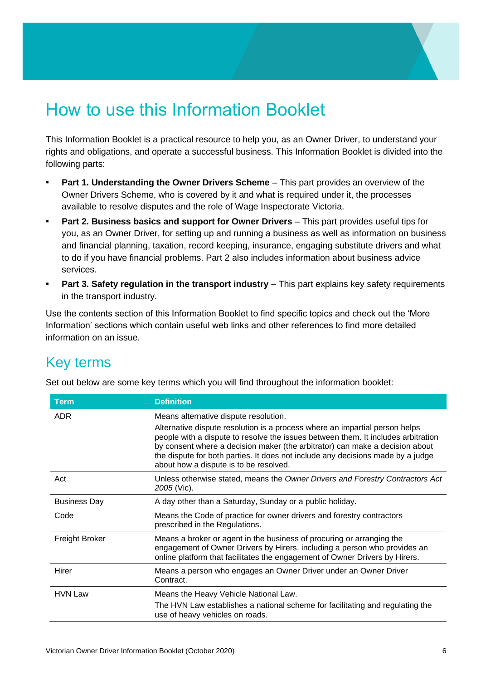# <span id="page-5-0"></span>How to use this Information Booklet

This Information Booklet is a practical resource to help you, as an Owner Driver, to understand your rights and obligations, and operate a successful business. This Information Booklet is divided into the following parts:

- **Part 1. Understanding the Owner Drivers Scheme** This part provides an overview of the Owner Drivers Scheme, who is covered by it and what is required under it, the processes available to resolve disputes and the role of Wage Inspectorate Victoria.
- **Part 2. Business basics and support for Owner Drivers** This part provides useful tips for you, as an Owner Driver, for setting up and running a business as well as information on business and financial planning, taxation, record keeping, insurance, engaging substitute drivers and what to do if you have financial problems. Part 2 also includes information about business advice services.
- **Part 3. Safety regulation in the transport industry** This part explains key safety requirements in the transport industry.

Use the contents section of this Information Booklet to find specific topics and check out the 'More Information' sections which contain useful web links and other references to find more detailed information on an issue.

# <span id="page-5-1"></span>Key terms

| Set out below are some key terms which you will find throughout the information booklet: |  |  |
|------------------------------------------------------------------------------------------|--|--|
|                                                                                          |  |  |

| <b>Term</b>         | <b>Definition</b>                                                                                                                                                                                                                                                                                                                                                                                                      |
|---------------------|------------------------------------------------------------------------------------------------------------------------------------------------------------------------------------------------------------------------------------------------------------------------------------------------------------------------------------------------------------------------------------------------------------------------|
| <b>ADR</b>          | Means alternative dispute resolution.<br>Alternative dispute resolution is a process where an impartial person helps<br>people with a dispute to resolve the issues between them. It includes arbitration<br>by consent where a decision maker (the arbitrator) can make a decision about<br>the dispute for both parties. It does not include any decisions made by a judge<br>about how a dispute is to be resolved. |
| Act                 | Unless otherwise stated, means the Owner Drivers and Forestry Contractors Act<br>2005 (Vic).                                                                                                                                                                                                                                                                                                                           |
| <b>Business Day</b> | A day other than a Saturday, Sunday or a public holiday.                                                                                                                                                                                                                                                                                                                                                               |
| Code                | Means the Code of practice for owner drivers and forestry contractors<br>prescribed in the Regulations.                                                                                                                                                                                                                                                                                                                |
| Freight Broker      | Means a broker or agent in the business of procuring or arranging the<br>engagement of Owner Drivers by Hirers, including a person who provides an<br>online platform that facilitates the engagement of Owner Drivers by Hirers.                                                                                                                                                                                      |
| Hirer               | Means a person who engages an Owner Driver under an Owner Driver<br>Contract.                                                                                                                                                                                                                                                                                                                                          |
| <b>HVN Law</b>      | Means the Heavy Vehicle National Law.<br>The HVN Law establishes a national scheme for facilitating and regulating the<br>use of heavy vehicles on roads.                                                                                                                                                                                                                                                              |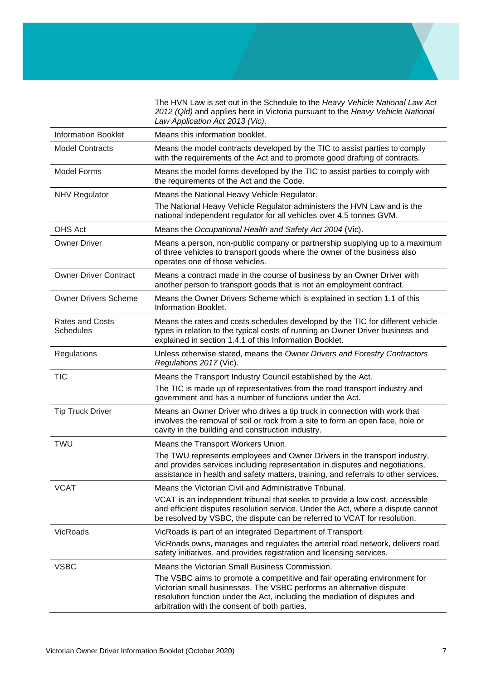The HVN Law is set out in the Schedule to the *Heavy Vehicle National Law Act 2012 (Qld)* and applies here in Victoria pursuant to the *Heavy Vehicle National Law Application Act 2013 (Vic)*.

| <b>Information Booklet</b>                 | Means this information booklet.                                                                                                                                                                                                                                                  |
|--------------------------------------------|----------------------------------------------------------------------------------------------------------------------------------------------------------------------------------------------------------------------------------------------------------------------------------|
| <b>Model Contracts</b>                     | Means the model contracts developed by the TIC to assist parties to comply<br>with the requirements of the Act and to promote good drafting of contracts.                                                                                                                        |
| <b>Model Forms</b>                         | Means the model forms developed by the TIC to assist parties to comply with<br>the requirements of the Act and the Code.                                                                                                                                                         |
| <b>NHV Regulator</b>                       | Means the National Heavy Vehicle Regulator.                                                                                                                                                                                                                                      |
|                                            | The National Heavy Vehicle Regulator administers the HVN Law and is the<br>national independent regulator for all vehicles over 4.5 tonnes GVM.                                                                                                                                  |
| OHS Act                                    | Means the Occupational Health and Safety Act 2004 (Vic).                                                                                                                                                                                                                         |
| <b>Owner Driver</b>                        | Means a person, non-public company or partnership supplying up to a maximum<br>of three vehicles to transport goods where the owner of the business also<br>operates one of those vehicles.                                                                                      |
| <b>Owner Driver Contract</b>               | Means a contract made in the course of business by an Owner Driver with<br>another person to transport goods that is not an employment contract.                                                                                                                                 |
| <b>Owner Drivers Scheme</b>                | Means the Owner Drivers Scheme which is explained in section 1.1 of this<br>Information Booklet.                                                                                                                                                                                 |
| <b>Rates and Costs</b><br><b>Schedules</b> | Means the rates and costs schedules developed by the TIC for different vehicle<br>types in relation to the typical costs of running an Owner Driver business and<br>explained in section 1.4.1 of this Information Booklet.                                                      |
| Regulations                                | Unless otherwise stated, means the Owner Drivers and Forestry Contractors<br>Regulations 2017 (Vic).                                                                                                                                                                             |
| <b>TIC</b>                                 | Means the Transport Industry Council established by the Act.                                                                                                                                                                                                                     |
|                                            | The TIC is made up of representatives from the road transport industry and<br>government and has a number of functions under the Act.                                                                                                                                            |
| <b>Tip Truck Driver</b>                    | Means an Owner Driver who drives a tip truck in connection with work that<br>involves the removal of soil or rock from a site to form an open face, hole or<br>cavity in the building and construction industry.                                                                 |
| <b>TWU</b>                                 | Means the Transport Workers Union.                                                                                                                                                                                                                                               |
|                                            | The TWU represents employees and Owner Drivers in the transport industry,<br>and provides services including representation in disputes and negotiations,<br>assistance in health and safety matters, training, and referrals to other services.                                 |
| <b>VCAT</b>                                | Means the Victorian Civil and Administrative Tribunal.                                                                                                                                                                                                                           |
|                                            | VCAT is an independent tribunal that seeks to provide a low cost, accessible<br>and efficient disputes resolution service. Under the Act, where a dispute cannot<br>be resolved by VSBC, the dispute can be referred to VCAT for resolution.                                     |
| VicRoads                                   | VicRoads is part of an integrated Department of Transport.                                                                                                                                                                                                                       |
|                                            | VicRoads owns, manages and regulates the arterial road network, delivers road<br>safety initiatives, and provides registration and licensing services.                                                                                                                           |
| <b>VSBC</b>                                | Means the Victorian Small Business Commission.                                                                                                                                                                                                                                   |
|                                            | The VSBC aims to promote a competitive and fair operating environment for<br>Victorian small businesses. The VSBC performs an alternative dispute<br>resolution function under the Act, including the mediation of disputes and<br>arbitration with the consent of both parties. |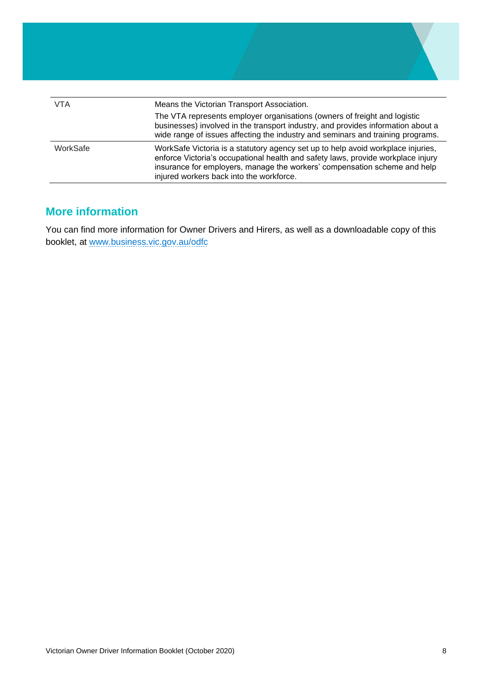| VTA      | Means the Victorian Transport Association.                                                                                                                                                                                                                                                    |
|----------|-----------------------------------------------------------------------------------------------------------------------------------------------------------------------------------------------------------------------------------------------------------------------------------------------|
|          | The VTA represents employer organisations (owners of freight and logistic<br>businesses) involved in the transport industry, and provides information about a<br>wide range of issues affecting the industry and seminars and training programs.                                              |
| WorkSafe | WorkSafe Victoria is a statutory agency set up to help avoid workplace injuries,<br>enforce Victoria's occupational health and safety laws, provide workplace injury<br>insurance for employers, manage the workers' compensation scheme and help<br>injured workers back into the workforce. |

## **More information**

You can find more information for Owner Drivers and Hirers, as well as a downloadable copy of this booklet, at [www.business.vic.gov.au/odfc](http://www.business.vic.gov.au/odfc)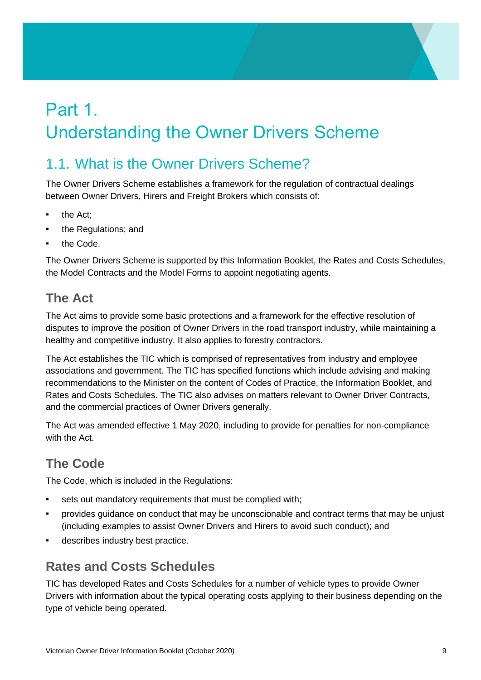# <span id="page-8-0"></span>Part 1. Understanding the Owner Drivers Scheme

# <span id="page-8-1"></span>1.1. What is the Owner Drivers Scheme?

The Owner Drivers Scheme establishes a framework for the regulation of contractual dealings between Owner Drivers, Hirers and Freight Brokers which consists of:

- the Act;
- the Regulations; and
- the Code.

The Owner Drivers Scheme is supported by this Information Booklet, the Rates and Costs Schedules, the Model Contracts and the Model Forms to appoint negotiating agents.

## **The Act**

The Act aims to provide some basic protections and a framework for the effective resolution of disputes to improve the position of Owner Drivers in the road transport industry, while maintaining a healthy and competitive industry. It also applies to forestry contractors.

The Act establishes the TIC which is comprised of representatives from industry and employee associations and government. The TIC has specified functions which include advising and making recommendations to the Minister on the content of Codes of Practice, the Information Booklet, and Rates and Costs Schedules. The TIC also advises on matters relevant to Owner Driver Contracts, and the commercial practices of Owner Drivers generally.

The Act was amended effective 1 May 2020, including to provide for penalties for non-compliance with the Act.

# **The Code**

The Code, which is included in the Regulations:

- sets out mandatory requirements that must be complied with;
- provides guidance on conduct that may be unconscionable and contract terms that may be unjust (including examples to assist Owner Drivers and Hirers to avoid such conduct); and
- describes industry best practice.

## **Rates and Costs Schedules**

TIC has developed Rates and Costs Schedules for a number of vehicle types to provide Owner Drivers with information about the typical operating costs applying to their business depending on the type of vehicle being operated.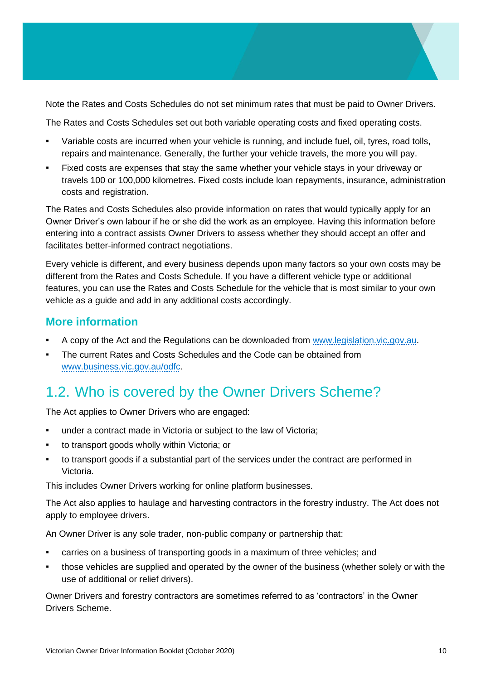Note the Rates and Costs Schedules do not set minimum rates that must be paid to Owner Drivers.

The Rates and Costs Schedules set out both variable operating costs and fixed operating costs.

- Variable costs are incurred when your vehicle is running, and include fuel, oil, tyres, road tolls, repairs and maintenance. Generally, the further your vehicle travels, the more you will pay.
- Fixed costs are expenses that stay the same whether your vehicle stays in your driveway or travels 100 or 100,000 kilometres. Fixed costs include loan repayments, insurance, administration costs and registration.

The Rates and Costs Schedules also provide information on rates that would typically apply for an Owner Driver's own labour if he or she did the work as an employee. Having this information before entering into a contract assists Owner Drivers to assess whether they should accept an offer and facilitates better-informed contract negotiations.

Every vehicle is different, and every business depends upon many factors so your own costs may be different from the Rates and Costs Schedule. If you have a different vehicle type or additional features, you can use the Rates and Costs Schedule for the vehicle that is most similar to your own vehicle as a guide and add in any additional costs accordingly.

#### **More information**

- A copy of the Act and the Regulations can be downloaded from [www.legislation.vic.gov.au.](http://www.legislation.vic.gov.au/)
- The current Rates and Costs Schedules and the Code can be obtained from [www.business.vic.gov.au/odfc.](http://www.business.vic.gov.au/odfc)

# <span id="page-9-0"></span>1.2. Who is covered by the Owner Drivers Scheme?

The Act applies to Owner Drivers who are engaged:

- under a contract made in Victoria or subject to the law of Victoria;
- to transport goods wholly within Victoria; or
- to transport goods if a substantial part of the services under the contract are performed in Victoria.

This includes Owner Drivers working for online platform businesses.

The Act also applies to haulage and harvesting contractors in the forestry industry. The Act does not apply to employee drivers.

An Owner Driver is any sole trader, non-public company or partnership that:

- carries on a business of transporting goods in a maximum of three vehicles; and
- those vehicles are supplied and operated by the owner of the business (whether solely or with the use of additional or relief drivers).

Owner Drivers and forestry contractors are sometimes referred to as 'contractors' in the Owner Drivers Scheme.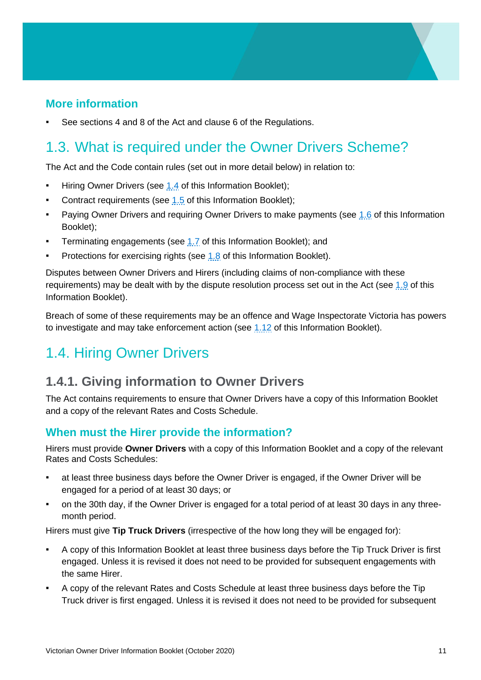## **More information**

See sections 4 and 8 of the Act and clause 6 of the Regulations.

# <span id="page-10-0"></span>1.3. What is required under the Owner Drivers Scheme?

The Act and the Code contain rules (set out in more detail below) in relation to:

- Hiring Owner Drivers (see [1.4](#page-10-1) of this Information Booklet);
- Contract requirements (see [1.5](#page-14-0) of this Information Booklet);
- **•** Paying Owner Drivers and requiring Owner Drivers to make payments (see [1.6](#page-15-0) of this Information Booklet);
- **•** Terminating engagements (see [1.7](#page-16-0) of this Information Booklet); and
- Protections for exercising rights (see [1.8](#page-17-0) of this Information Booklet).

Disputes between Owner Drivers and Hirers (including claims of non-compliance with these requirements) may be dealt with by the dispute resolution process set out in the Act (see [1.9](#page-18-0) of this Information Booklet).

Breach of some of these requirements may be an offence and Wage Inspectorate Victoria has powers to investigate and may take enforcement action (see [1.12](#page-20-1) of this Information Booklet).

# <span id="page-10-1"></span>1.4. Hiring Owner Drivers

## <span id="page-10-2"></span>**1.4.1. Giving information to Owner Drivers**

The Act contains requirements to ensure that Owner Drivers have a copy of this Information Booklet and a copy of the relevant Rates and Costs Schedule.

#### **When must the Hirer provide the information?**

Hirers must provide **Owner Drivers** with a copy of this Information Booklet and a copy of the relevant Rates and Costs Schedules:

- at least three business days before the Owner Driver is engaged, if the Owner Driver will be engaged for a period of at least 30 days; or
- on the 30th day, if the Owner Driver is engaged for a total period of at least 30 days in any threemonth period.

Hirers must give **Tip Truck Drivers** (irrespective of the how long they will be engaged for):

- A copy of this Information Booklet at least three business days before the Tip Truck Driver is first engaged. Unless it is revised it does not need to be provided for subsequent engagements with the same Hirer.
- A copy of the relevant Rates and Costs Schedule at least three business days before the Tip Truck driver is first engaged. Unless it is revised it does not need to be provided for subsequent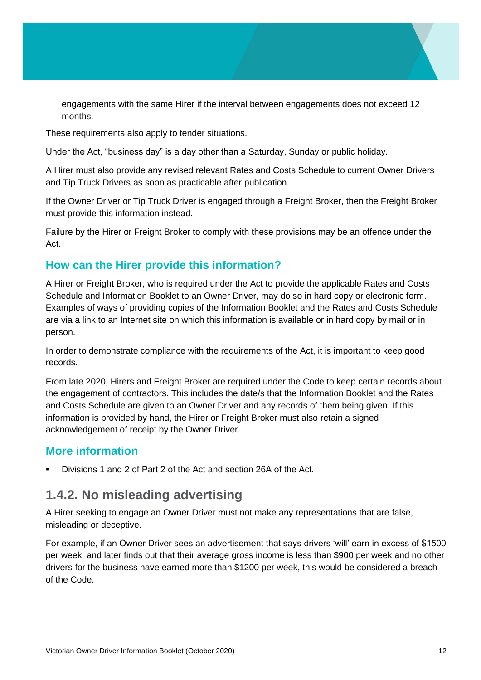engagements with the same Hirer if the interval between engagements does not exceed 12 months.

These requirements also apply to tender situations.

Under the Act, "business day" is a day other than a Saturday, Sunday or public holiday.

A Hirer must also provide any revised relevant Rates and Costs Schedule to current Owner Drivers and Tip Truck Drivers as soon as practicable after publication.

If the Owner Driver or Tip Truck Driver is engaged through a Freight Broker, then the Freight Broker must provide this information instead.

Failure by the Hirer or Freight Broker to comply with these provisions may be an offence under the Act.

## **How can the Hirer provide this information?**

A Hirer or Freight Broker, who is required under the Act to provide the applicable Rates and Costs Schedule and Information Booklet to an Owner Driver, may do so in hard copy or electronic form. Examples of ways of providing copies of the Information Booklet and the Rates and Costs Schedule are via a link to an Internet site on which this information is available or in hard copy by mail or in person.

In order to demonstrate compliance with the requirements of the Act, it is important to keep good records.

From late 2020, Hirers and Freight Broker are required under the Code to keep certain records about the engagement of contractors. This includes the date/s that the Information Booklet and the Rates and Costs Schedule are given to an Owner Driver and any records of them being given. If this information is provided by hand, the Hirer or Freight Broker must also retain a signed acknowledgement of receipt by the Owner Driver.

#### **More information**

Divisions 1 and 2 of Part 2 of the Act and section 26A of the Act.

## **1.4.2. No misleading advertising**

A Hirer seeking to engage an Owner Driver must not make any representations that are false, misleading or deceptive.

For example, if an Owner Driver sees an advertisement that says drivers 'will' earn in excess of \$1500 per week, and later finds out that their average gross income is less than \$900 per week and no other drivers for the business have earned more than \$1200 per week, this would be considered a breach of the Code.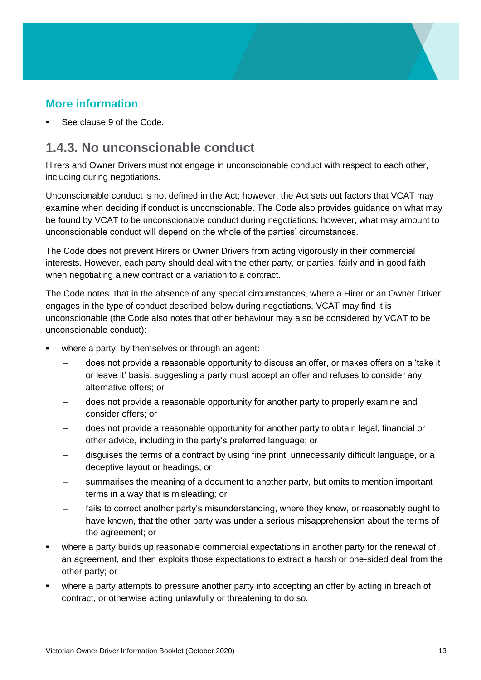## **More information**

See clause 9 of the Code.

## **1.4.3. No unconscionable conduct**

Hirers and Owner Drivers must not engage in unconscionable conduct with respect to each other, including during negotiations.

Unconscionable conduct is not defined in the Act; however, the Act sets out factors that VCAT may examine when deciding if conduct is unconscionable. The Code also provides guidance on what may be found by VCAT to be unconscionable conduct during negotiations; however, what may amount to unconscionable conduct will depend on the whole of the parties' circumstances.

The Code does not prevent Hirers or Owner Drivers from acting vigorously in their commercial interests. However, each party should deal with the other party, or parties, fairly and in good faith when negotiating a new contract or a variation to a contract.

The Code notes that in the absence of any special circumstances, where a Hirer or an Owner Driver engages in the type of conduct described below during negotiations, VCAT may find it is unconscionable (the Code also notes that other behaviour may also be considered by VCAT to be unconscionable conduct):

- where a party, by themselves or through an agent:
	- does not provide a reasonable opportunity to discuss an offer, or makes offers on a 'take it or leave it' basis, suggesting a party must accept an offer and refuses to consider any alternative offers; or
	- does not provide a reasonable opportunity for another party to properly examine and consider offers; or
	- does not provide a reasonable opportunity for another party to obtain legal, financial or other advice, including in the party's preferred language; or
	- disguises the terms of a contract by using fine print, unnecessarily difficult language, or a deceptive layout or headings; or
	- summarises the meaning of a document to another party, but omits to mention important terms in a way that is misleading; or
	- fails to correct another party's misunderstanding, where they knew, or reasonably ought to have known, that the other party was under a serious misapprehension about the terms of the agreement; or
- where a party builds up reasonable commercial expectations in another party for the renewal of an agreement, and then exploits those expectations to extract a harsh or one-sided deal from the other party; or
- where a party attempts to pressure another party into accepting an offer by acting in breach of contract, or otherwise acting unlawfully or threatening to do so.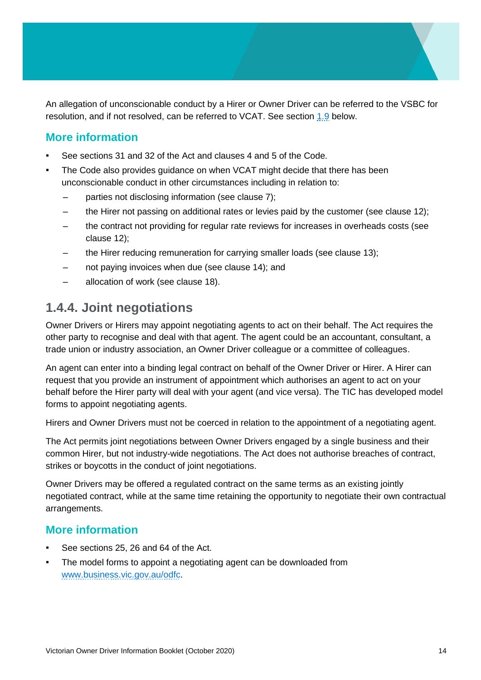An allegation of unconscionable conduct by a Hirer or Owner Driver can be referred to the VSBC for resolution, and if not resolved, can be referred to VCAT. See section [1.9](#page-18-0) below.

## **More information**

- See sections 31 and 32 of the Act and clauses 4 and 5 of the Code.
- The Code also provides guidance on when VCAT might decide that there has been unconscionable conduct in other circumstances including in relation to:
	- parties not disclosing information (see clause 7);
	- the Hirer not passing on additional rates or levies paid by the customer (see clause 12);
	- the contract not providing for regular rate reviews for increases in overheads costs (see clause 12);
	- the Hirer reducing remuneration for carrying smaller loads (see clause 13);
	- not paying invoices when due (see clause 14); and
	- allocation of work (see clause 18).

## **1.4.4. Joint negotiations**

Owner Drivers or Hirers may appoint negotiating agents to act on their behalf. The Act requires the other party to recognise and deal with that agent. The agent could be an accountant, consultant, a trade union or industry association, an Owner Driver colleague or a committee of colleagues.

An agent can enter into a binding legal contract on behalf of the Owner Driver or Hirer. A Hirer can request that you provide an instrument of appointment which authorises an agent to act on your behalf before the Hirer party will deal with your agent (and vice versa). The TIC has developed model forms to appoint negotiating agents.

Hirers and Owner Drivers must not be coerced in relation to the appointment of a negotiating agent.

The Act permits joint negotiations between Owner Drivers engaged by a single business and their common Hirer, but not industry-wide negotiations. The Act does not authorise breaches of contract, strikes or boycotts in the conduct of joint negotiations.

Owner Drivers may be offered a regulated contract on the same terms as an existing jointly negotiated contract, while at the same time retaining the opportunity to negotiate their own contractual arrangements.

#### **More information**

- See sections 25, 26 and 64 of the Act.
- The model forms to appoint a negotiating agent can be downloaded from [www.business.vic.gov.au/odfc.](http://www.business.vic.gov.au/odfc)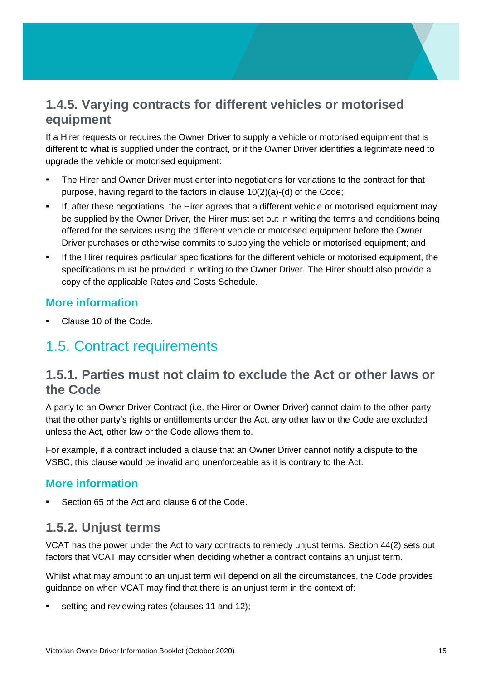## **1.4.5. Varying contracts for different vehicles or motorised equipment**

If a Hirer requests or requires the Owner Driver to supply a vehicle or motorised equipment that is different to what is supplied under the contract, or if the Owner Driver identifies a legitimate need to upgrade the vehicle or motorised equipment:

- The Hirer and Owner Driver must enter into negotiations for variations to the contract for that purpose, having regard to the factors in clause 10(2)(a)-(d) of the Code;
- If, after these negotiations, the Hirer agrees that a different vehicle or motorised equipment may be supplied by the Owner Driver, the Hirer must set out in writing the terms and conditions being offered for the services using the different vehicle or motorised equipment before the Owner Driver purchases or otherwise commits to supplying the vehicle or motorised equipment; and
- If the Hirer requires particular specifications for the different vehicle or motorised equipment, the specifications must be provided in writing to the Owner Driver. The Hirer should also provide a copy of the applicable Rates and Costs Schedule.

#### **More information**

Clause 10 of the Code.

# <span id="page-14-0"></span>1.5. Contract requirements

## **1.5.1. Parties must not claim to exclude the Act or other laws or the Code**

A party to an Owner Driver Contract (i.e. the Hirer or Owner Driver) cannot claim to the other party that the other party's rights or entitlements under the Act, any other law or the Code are excluded unless the Act, other law or the Code allows them to.

For example, if a contract included a clause that an Owner Driver cannot notify a dispute to the VSBC, this clause would be invalid and unenforceable as it is contrary to the Act.

## **More information**

Section 65 of the Act and clause 6 of the Code.

## <span id="page-14-1"></span>**1.5.2. Unjust terms**

VCAT has the power under the Act to vary contracts to remedy unjust terms. Section 44(2) sets out factors that VCAT may consider when deciding whether a contract contains an unjust term.

Whilst what may amount to an unjust term will depend on all the circumstances, the Code provides guidance on when VCAT may find that there is an unjust term in the context of:

setting and reviewing rates (clauses 11 and 12);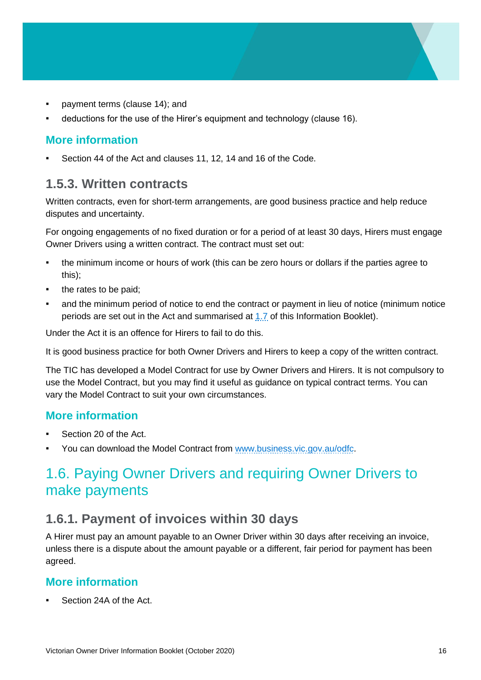- payment terms (clause 14); and
- deductions for the use of the Hirer's equipment and technology (clause 16).

#### **More information**

Section 44 of the Act and clauses 11, 12, 14 and 16 of the Code.

## <span id="page-15-1"></span>**1.5.3. Written contracts**

Written contracts, even for short-term arrangements, are good business practice and help reduce disputes and uncertainty.

For ongoing engagements of no fixed duration or for a period of at least 30 days, Hirers must engage Owner Drivers using a written contract. The contract must set out:

- the minimum income or hours of work (this can be zero hours or dollars if the parties agree to this);
- the rates to be paid:
- and the minimum period of notice to end the contract or payment in lieu of notice (minimum notice periods are set out in the Act and summarised at [1.7](#page-16-0) of this Information Booklet).

Under the Act it is an offence for Hirers to fail to do this.

It is good business practice for both Owner Drivers and Hirers to keep a copy of the written contract.

The TIC has developed a Model Contract for use by Owner Drivers and Hirers. It is not compulsory to use the Model Contract, but you may find it useful as guidance on typical contract terms. You can vary the Model Contract to suit your own circumstances.

#### **More information**

- Section 20 of the Act.
- You can download the Model Contract from [www.business.vic.gov.au/odfc.](http://www.business.vic.gov.au/odfc)

# <span id="page-15-0"></span>1.6. Paying Owner Drivers and requiring Owner Drivers to make payments

## <span id="page-15-2"></span>**1.6.1. Payment of invoices within 30 days**

A Hirer must pay an amount payable to an Owner Driver within 30 days after receiving an invoice, unless there is a dispute about the amount payable or a different, fair period for payment has been agreed.

#### **More information**

Section 24A of the Act.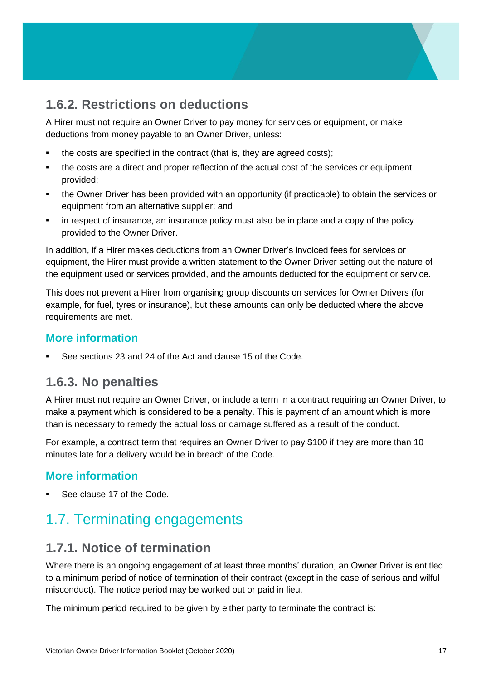## **1.6.2. Restrictions on deductions**

A Hirer must not require an Owner Driver to pay money for services or equipment, or make deductions from money payable to an Owner Driver, unless:

- the costs are specified in the contract (that is, they are agreed costs);
- the costs are a direct and proper reflection of the actual cost of the services or equipment provided;
- the Owner Driver has been provided with an opportunity (if practicable) to obtain the services or equipment from an alternative supplier; and
- in respect of insurance, an insurance policy must also be in place and a copy of the policy provided to the Owner Driver.

In addition, if a Hirer makes deductions from an Owner Driver's invoiced fees for services or equipment, the Hirer must provide a written statement to the Owner Driver setting out the nature of the equipment used or services provided, and the amounts deducted for the equipment or service.

This does not prevent a Hirer from organising group discounts on services for Owner Drivers (for example, for fuel, tyres or insurance), but these amounts can only be deducted where the above requirements are met.

#### **More information**

See sections 23 and 24 of the Act and clause 15 of the Code.

## **1.6.3. No penalties**

A Hirer must not require an Owner Driver, or include a term in a contract requiring an Owner Driver, to make a payment which is considered to be a penalty. This is payment of an amount which is more than is necessary to remedy the actual loss or damage suffered as a result of the conduct.

For example, a contract term that requires an Owner Driver to pay \$100 if they are more than 10 minutes late for a delivery would be in breach of the Code.

## **More information**

See clause 17 of the Code.

# <span id="page-16-0"></span>1.7. Terminating engagements

## **1.7.1. Notice of termination**

Where there is an ongoing engagement of at least three months' duration, an Owner Driver is entitled to a minimum period of notice of termination of their contract (except in the case of serious and wilful misconduct). The notice period may be worked out or paid in lieu.

The minimum period required to be given by either party to terminate the contract is: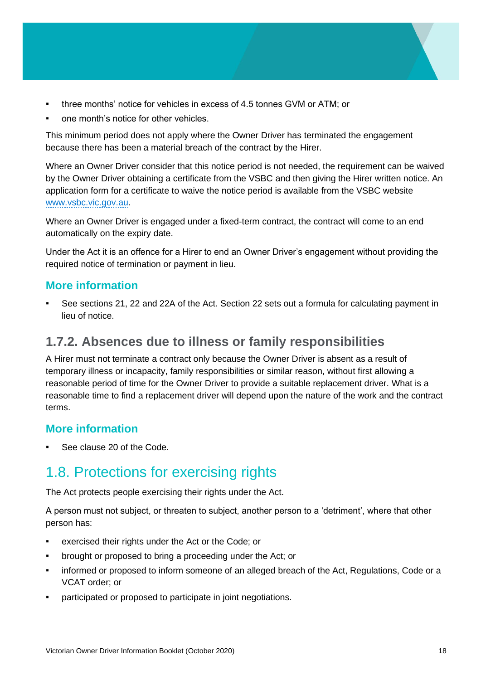- three months' notice for vehicles in excess of 4.5 tonnes GVM or ATM; or
- one month's notice for other vehicles.

This minimum period does not apply where the Owner Driver has terminated the engagement because there has been a material breach of the contract by the Hirer.

Where an Owner Driver consider that this notice period is not needed, the requirement can be waived by the Owner Driver obtaining a certificate from the VSBC and then giving the Hirer written notice. An application form for a certificate to waive the notice period is available from the VSBC website [www.vsbc.vic.gov.au.](file:///C:/Users/viche8a/AppData/Roaming/Microsoft/Word/www.vsbc.vic.gov.au)

Where an Owner Driver is engaged under a fixed-term contract, the contract will come to an end automatically on the expiry date.

Under the Act it is an offence for a Hirer to end an Owner Driver's engagement without providing the required notice of termination or payment in lieu.

#### **More information**

See sections 21, 22 and 22A of the Act. Section 22 sets out a formula for calculating payment in lieu of notice.

## **1.7.2. Absences due to illness or family responsibilities**

A Hirer must not terminate a contract only because the Owner Driver is absent as a result of temporary illness or incapacity, family responsibilities or similar reason, without first allowing a reasonable period of time for the Owner Driver to provide a suitable replacement driver. What is a reasonable time to find a replacement driver will depend upon the nature of the work and the contract terms.

#### **More information**

See clause 20 of the Code.

# <span id="page-17-0"></span>1.8. Protections for exercising rights

The Act protects people exercising their rights under the Act.

A person must not subject, or threaten to subject, another person to a 'detriment', where that other person has:

- exercised their rights under the Act or the Code; or
- brought or proposed to bring a proceeding under the Act; or
- **•** informed or proposed to inform someone of an alleged breach of the Act, Regulations, Code or a VCAT order; or
- participated or proposed to participate in joint negotiations.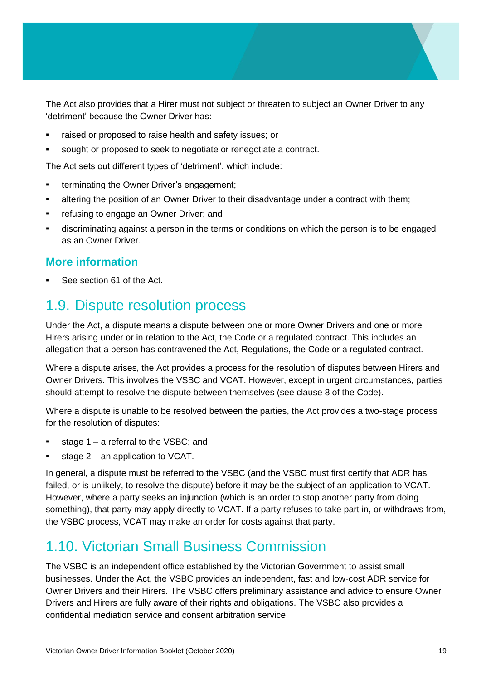The Act also provides that a Hirer must not subject or threaten to subject an Owner Driver to any 'detriment' because the Owner Driver has:

- raised or proposed to raise health and safety issues; or
- sought or proposed to seek to negotiate or renegotiate a contract.

The Act sets out different types of 'detriment', which include:

- **•** terminating the Owner Driver's engagement;
- altering the position of an Owner Driver to their disadvantage under a contract with them;
- **refusing to engage an Owner Driver; and**
- discriminating against a person in the terms or conditions on which the person is to be engaged as an Owner Driver.

#### **More information**

See section 61 of the Act.

## <span id="page-18-0"></span>1.9. Dispute resolution process

Under the Act, a dispute means a dispute between one or more Owner Drivers and one or more Hirers arising under or in relation to the Act, the Code or a regulated contract. This includes an allegation that a person has contravened the Act, Regulations, the Code or a regulated contract.

Where a dispute arises, the Act provides a process for the resolution of disputes between Hirers and Owner Drivers. This involves the VSBC and VCAT. However, except in urgent circumstances, parties should attempt to resolve the dispute between themselves (see clause 8 of the Code).

Where a dispute is unable to be resolved between the parties, the Act provides a two-stage process for the resolution of disputes:

- stage 1 a referral to the VSBC: and
- stage  $2 -$  an application to VCAT.

In general, a dispute must be referred to the VSBC (and the VSBC must first certify that ADR has failed, or is unlikely, to resolve the dispute) before it may be the subject of an application to VCAT. However, where a party seeks an injunction (which is an order to stop another party from doing something), that party may apply directly to VCAT. If a party refuses to take part in, or withdraws from, the VSBC process, VCAT may make an order for costs against that party.

# <span id="page-18-1"></span>1.10. Victorian Small Business Commission

The VSBC is an independent office established by the Victorian Government to assist small businesses. Under the Act, the VSBC provides an independent, fast and low-cost ADR service for Owner Drivers and their Hirers. The VSBC offers preliminary assistance and advice to ensure Owner Drivers and Hirers are fully aware of their rights and obligations. The VSBC also provides a confidential mediation service and consent arbitration service.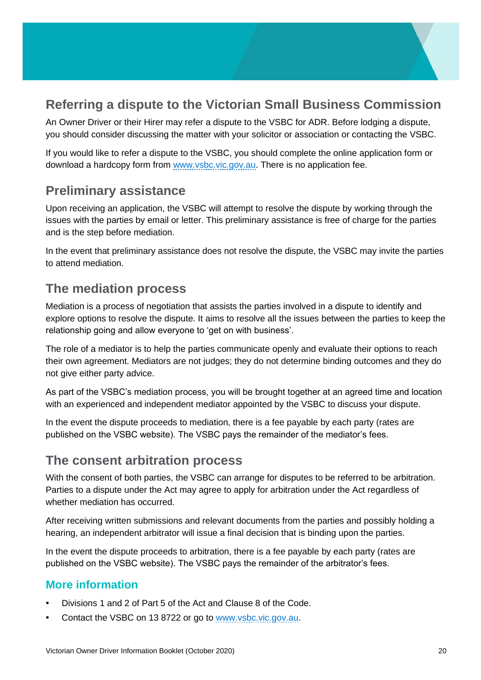## **Referring a dispute to the Victorian Small Business Commission**

An Owner Driver or their Hirer may refer a dispute to the VSBC for ADR. Before lodging a dispute, you should consider discussing the matter with your solicitor or association or contacting the VSBC.

If you would like to refer a dispute to the VSBC, you should complete the online application form or download a hardcopy form from [www.vsbc.vic.gov.au.](file://///internal.vic.gov.au/DPC/HomeDirs1/viche8a/Desktop/www.vsbc.vic.gov.au) There is no application fee.

## **Preliminary assistance**

Upon receiving an application, the VSBC will attempt to resolve the dispute by working through the issues with the parties by email or letter. This preliminary assistance is free of charge for the parties and is the step before mediation.

In the event that preliminary assistance does not resolve the dispute, the VSBC may invite the parties to attend mediation.

## **The mediation process**

Mediation is a process of negotiation that assists the parties involved in a dispute to identify and explore options to resolve the dispute. It aims to resolve all the issues between the parties to keep the relationship going and allow everyone to 'get on with business'.

The role of a mediator is to help the parties communicate openly and evaluate their options to reach their own agreement. Mediators are not judges; they do not determine binding outcomes and they do not give either party advice.

As part of the VSBC's mediation process, you will be brought together at an agreed time and location with an experienced and independent mediator appointed by the VSBC to discuss your dispute.

In the event the dispute proceeds to mediation, there is a fee payable by each party (rates are published on the VSBC website). The VSBC pays the remainder of the mediator's fees.

## **The consent arbitration process**

With the consent of both parties, the VSBC can arrange for disputes to be referred to be arbitration. Parties to a dispute under the Act may agree to apply for arbitration under the Act regardless of whether mediation has occurred.

After receiving written submissions and relevant documents from the parties and possibly holding a hearing, an independent arbitrator will issue a final decision that is binding upon the parties.

In the event the dispute proceeds to arbitration, there is a fee payable by each party (rates are published on the VSBC website). The VSBC pays the remainder of the arbitrator's fees.

## **More information**

- Divisions 1 and 2 of Part 5 of the Act and Clause 8 of the Code.
- Contact the VSBC on 13 8722 or go to [www.vsbc.vic.gov.au.](file:///C:/Users/viche8a/AppData/Roaming/Microsoft/Word/www.vsbc.vic.gov.au)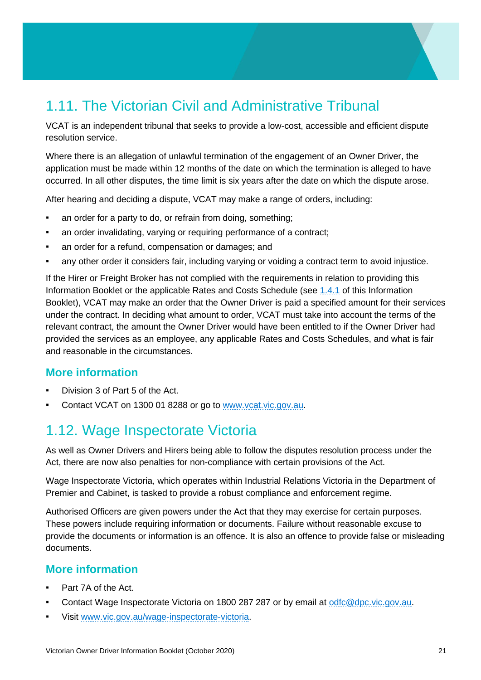# <span id="page-20-0"></span>1.11. The Victorian Civil and Administrative Tribunal

VCAT is an independent tribunal that seeks to provide a low-cost, accessible and efficient dispute resolution service.

Where there is an allegation of unlawful termination of the engagement of an Owner Driver, the application must be made within 12 months of the date on which the termination is alleged to have occurred. In all other disputes, the time limit is six years after the date on which the dispute arose.

After hearing and deciding a dispute, VCAT may make a range of orders, including:

- **EXECT** an order for a party to do, or refrain from doing, something;
- **•** an order invalidating, varying or requiring performance of a contract;
- an order for a refund, compensation or damages; and
- **•** any other order it considers fair, including varying or voiding a contract term to avoid injustice.

If the Hirer or Freight Broker has not complied with the requirements in relation to providing this Information Booklet or the applicable Rates and Costs Schedule (see [1.4.1](#page-10-2) of this Information Booklet), VCAT may make an order that the Owner Driver is paid a specified amount for their services under the contract. In deciding what amount to order, VCAT must take into account the terms of the relevant contract, the amount the Owner Driver would have been entitled to if the Owner Driver had provided the services as an employee, any applicable Rates and Costs Schedules, and what is fair and reasonable in the circumstances.

#### **More information**

- Division 3 of Part 5 of the Act.
- Contact VCAT on 1300 01 8288 or go to [www.vcat.vic.gov.au.](file:///C:/Users/viche8a/AppData/Roaming/Microsoft/Word/www.vcat.vic.gov.au)

## <span id="page-20-1"></span>1.12. Wage Inspectorate Victoria

As well as Owner Drivers and Hirers being able to follow the disputes resolution process under the Act, there are now also penalties for non-compliance with certain provisions of the Act.

Wage Inspectorate Victoria, which operates within Industrial Relations Victoria in the Department of Premier and Cabinet, is tasked to provide a robust compliance and enforcement regime.

Authorised Officers are given powers under the Act that they may exercise for certain purposes. These powers include requiring information or documents. Failure without reasonable excuse to provide the documents or information is an offence. It is also an offence to provide false or misleading documents.

#### **More information**

- Part 7A of the Act.
- Contact Wage Inspectorate Victoria on 1800 287 287 or by email at [odfc@dpc.vic.gov.au.](mailto:odfc@dpc.vic.gov.au)
- Visit [www.vic.gov.au/wage-inspectorate-victoria.](https://www.vic.gov.au/wage-inspectorate-victoria)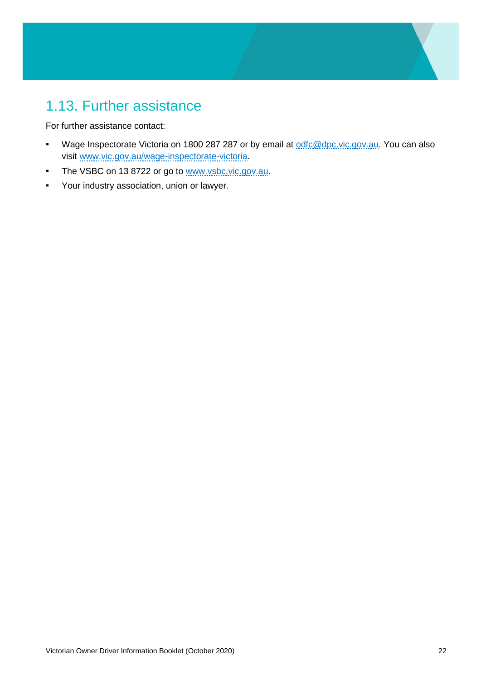# <span id="page-21-0"></span>1.13. Further assistance

For further assistance contact:

- Wage Inspectorate Victoria on 1800 287 287 or by email at [odfc@dpc.vic.gov.au.](mailto:odfc@dpc.vic.gov.au) You can also visit [www.vic.gov.au/wage-inspectorate-victoria.](https://www.vic.gov.au/wage-inspectorate-victoria)
- **The VSBC on 13 8722 or go to www.ysbc.vic.gov.au.**
- Your industry association, union or lawyer.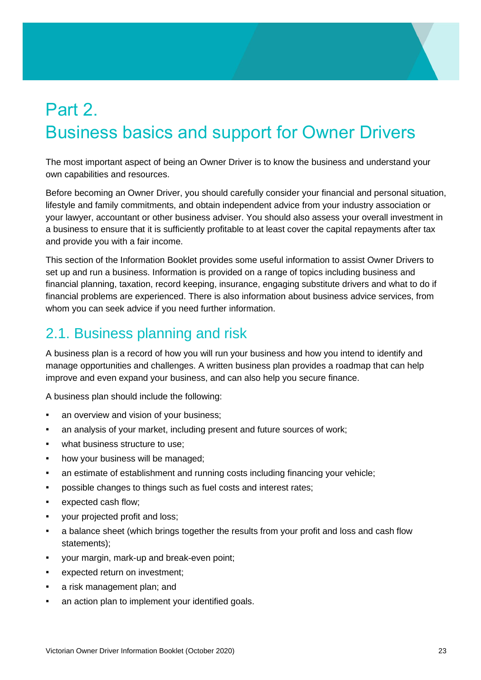# <span id="page-22-0"></span>Part 2. Business basics and support for Owner Drivers

The most important aspect of being an Owner Driver is to know the business and understand your own capabilities and resources.

Before becoming an Owner Driver, you should carefully consider your financial and personal situation, lifestyle and family commitments, and obtain independent advice from your industry association or your lawyer, accountant or other business adviser. You should also assess your overall investment in a business to ensure that it is sufficiently profitable to at least cover the capital repayments after tax and provide you with a fair income.

This section of the Information Booklet provides some useful information to assist Owner Drivers to set up and run a business. Information is provided on a range of topics including business and financial planning, taxation, record keeping, insurance, engaging substitute drivers and what to do if financial problems are experienced. There is also information about business advice services, from whom you can seek advice if you need further information.

# <span id="page-22-1"></span>2.1. Business planning and risk

A business plan is a record of how you will run your business and how you intend to identify and manage opportunities and challenges. A written business plan provides a roadmap that can help improve and even expand your business, and can also help you secure finance.

A business plan should include the following:

- **an overview and vision of your business:**
- an analysis of your market, including present and future sources of work;
- what business structure to use:
- **•** how your business will be managed;
- an estimate of establishment and running costs including financing your vehicle;
- possible changes to things such as fuel costs and interest rates;
- expected cash flow;
- your projected profit and loss;
- **•** a balance sheet (which brings together the results from your profit and loss and cash flow statements);
- your margin, mark-up and break-even point;
- expected return on investment;
- a risk management plan; and
- **an action plan to implement your identified goals.**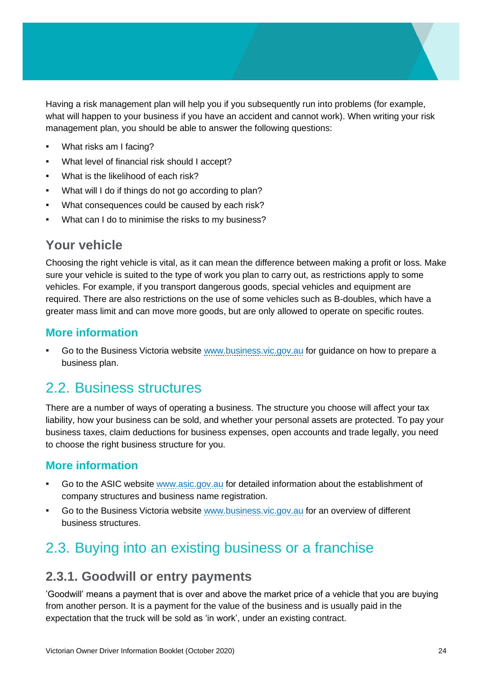Having a risk management plan will help you if you subsequently run into problems (for example, what will happen to your business if you have an accident and cannot work). When writing your risk management plan, you should be able to answer the following questions:

- What risks am I facing?
- What level of financial risk should I accept?
- What is the likelihood of each risk?
- What will I do if things do not go according to plan?
- What consequences could be caused by each risk?
- What can I do to minimise the risks to my business?

## **Your vehicle**

Choosing the right vehicle is vital, as it can mean the difference between making a profit or loss. Make sure your vehicle is suited to the type of work you plan to carry out, as restrictions apply to some vehicles. For example, if you transport dangerous goods, special vehicles and equipment are required. There are also restrictions on the use of some vehicles such as B-doubles, which have a greater mass limit and can move more goods, but are only allowed to operate on specific routes.

#### **More information**

Go to the Business Victoria website [www.business.vic.gov.au](http://www.business.vic.gov.au/) for guidance on how to prepare a business plan.

## <span id="page-23-0"></span>2.2. Business structures

There are a number of ways of operating a business. The structure you choose will affect your tax liability, how your business can be sold, and whether your personal assets are protected. To pay your business taxes, claim deductions for business expenses, open accounts and trade legally, you need to choose the right business structure for you.

#### **More information**

- Go to the ASIC website [www.asic.gov.au](file://///internal.vic.gov.au/DPC/HomeDirs1/viche8a/Desktop/www.asic.gov.au) for detailed information about the establishment of company structures and business name registration.
- Go to the Business Victoria website [www.business.vic.gov.au](file://///internal.vic.gov.au/DPC/HomeDirs1/viche8a/Desktop/www.business.vic.gov.au) for an overview of different business structures.

# <span id="page-23-1"></span>2.3. Buying into an existing business or a franchise

## **2.3.1. Goodwill or entry payments**

'Goodwill' means a payment that is over and above the market price of a vehicle that you are buying from another person. It is a payment for the value of the business and is usually paid in the expectation that the truck will be sold as 'in work', under an existing contract.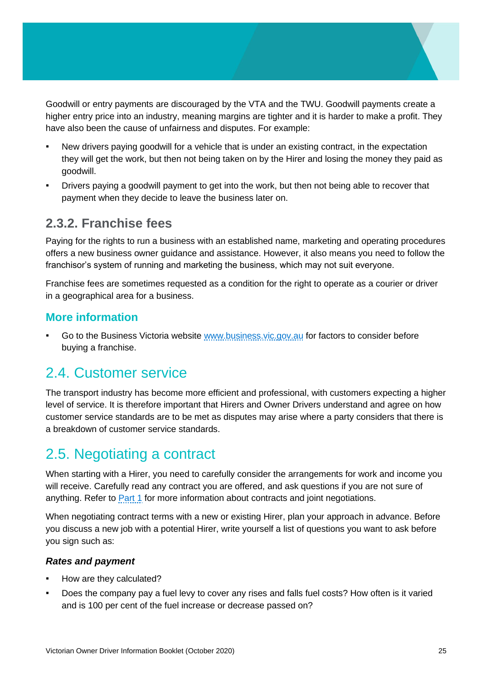Goodwill or entry payments are discouraged by the VTA and the TWU. Goodwill payments create a higher entry price into an industry, meaning margins are tighter and it is harder to make a profit. They have also been the cause of unfairness and disputes. For example:

- New drivers paying goodwill for a vehicle that is under an existing contract, in the expectation they will get the work, but then not being taken on by the Hirer and losing the money they paid as goodwill.
- Drivers paying a goodwill payment to get into the work, but then not being able to recover that payment when they decide to leave the business later on.

## **2.3.2. Franchise fees**

Paying for the rights to run a business with an established name, marketing and operating procedures offers a new business owner guidance and assistance. However, it also means you need to follow the franchisor's system of running and marketing the business, which may not suit everyone.

Franchise fees are sometimes requested as a condition for the right to operate as a courier or driver in a geographical area for a business.

#### **More information**

Go to the Business Victoria website [www.business.vic.gov.au](file://///internal.vic.gov.au/DPC/HomeDirs1/viche8a/Desktop/www.business.vic.gov.au%20) for factors to consider before buying a franchise.

# <span id="page-24-0"></span>2.4. Customer service

The transport industry has become more efficient and professional, with customers expecting a higher level of service. It is therefore important that Hirers and Owner Drivers understand and agree on how customer service standards are to be met as disputes may arise where a party considers that there is a breakdown of customer service standards.

# <span id="page-24-1"></span>2.5. Negotiating a contract

When starting with a Hirer, you need to carefully consider the arrangements for work and income you will receive. Carefully read any contract you are offered, and ask questions if you are not sure of anything. Refer to **Part 1** for more information about contracts and joint negotiations.

When negotiating contract terms with a new or existing Hirer, plan your approach in advance. Before you discuss a new job with a potential Hirer, write yourself a list of questions you want to ask before you sign such as:

#### *Rates and payment*

- How are they calculated?
- Does the company pay a fuel levy to cover any rises and falls fuel costs? How often is it varied and is 100 per cent of the fuel increase or decrease passed on?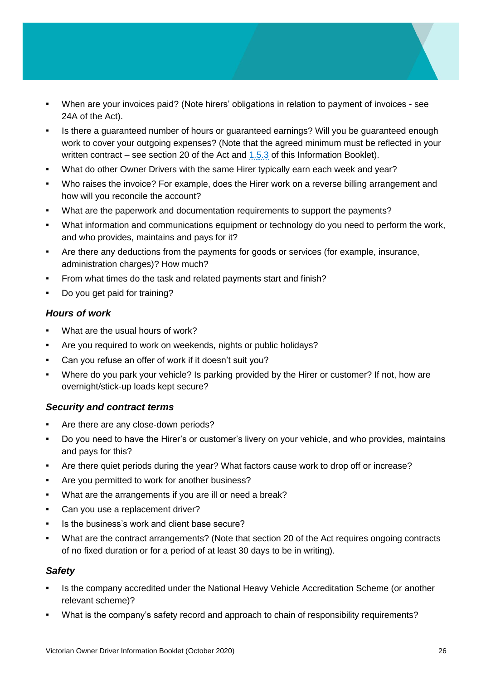- When are your invoices paid? (Note hirers' obligations in relation to payment of invoices see 24A of the Act).
- Is there a guaranteed number of hours or guaranteed earnings? Will you be guaranteed enough work to cover your outgoing expenses? (Note that the agreed minimum must be reflected in your written contract – see section 20 of the Act and  $1.5.3$  of this Information Booklet).
- What do other Owner Drivers with the same Hirer typically earn each week and year?
- Who raises the invoice? For example, does the Hirer work on a reverse billing arrangement and how will you reconcile the account?
- What are the paperwork and documentation requirements to support the payments?
- What information and communications equipment or technology do you need to perform the work, and who provides, maintains and pays for it?
- Are there any deductions from the payments for goods or services (for example, insurance, administration charges)? How much?
- **•** From what times do the task and related payments start and finish?
- Do you get paid for training?

#### *Hours of work*

- What are the usual hours of work?
- Are you required to work on weekends, nights or public holidays?
- Can you refuse an offer of work if it doesn't suit you?
- Where do you park your vehicle? Is parking provided by the Hirer or customer? If not, how are overnight/stick-up loads kept secure?

#### *Security and contract terms*

- Are there are any close-down periods?
- Do you need to have the Hirer's or customer's livery on your vehicle, and who provides, maintains and pays for this?
- Are there quiet periods during the year? What factors cause work to drop off or increase?
- Are you permitted to work for another business?
- What are the arrangements if you are ill or need a break?
- Can you use a replacement driver?
- Is the business's work and client base secure?
- What are the contract arrangements? (Note that section 20 of the Act requires ongoing contracts of no fixed duration or for a period of at least 30 days to be in writing).

#### *Safety*

- Is the company accredited under the National Heavy Vehicle Accreditation Scheme (or another relevant scheme)?
- What is the company's safety record and approach to chain of responsibility requirements?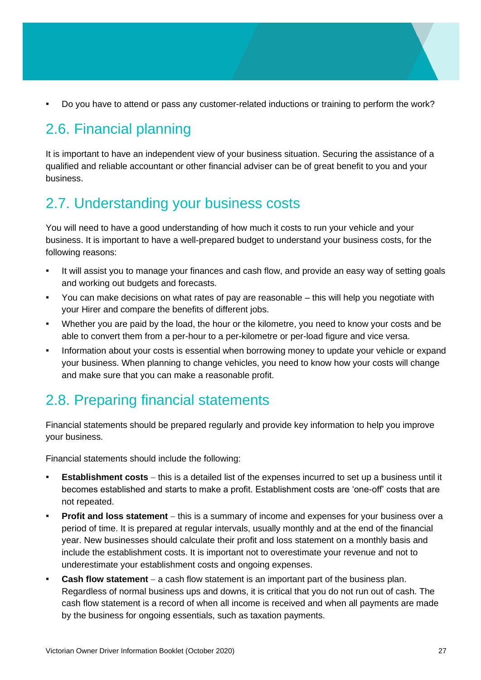Do you have to attend or pass any customer-related inductions or training to perform the work?

# <span id="page-26-0"></span>2.6. Financial planning

It is important to have an independent view of your business situation. Securing the assistance of a qualified and reliable accountant or other financial adviser can be of great benefit to you and your business.

# <span id="page-26-1"></span>2.7. Understanding your business costs

You will need to have a good understanding of how much it costs to run your vehicle and your business. It is important to have a well-prepared budget to understand your business costs, for the following reasons:

- It will assist you to manage your finances and cash flow, and provide an easy way of setting goals and working out budgets and forecasts.
- You can make decisions on what rates of pay are reasonable this will help you negotiate with your Hirer and compare the benefits of different jobs.
- Whether you are paid by the load, the hour or the kilometre, you need to know your costs and be able to convert them from a per-hour to a per-kilometre or per-load figure and vice versa.
- Information about your costs is essential when borrowing money to update your vehicle or expand your business. When planning to change vehicles, you need to know how your costs will change and make sure that you can make a reasonable profit.

# <span id="page-26-2"></span>2.8. Preparing financial statements

Financial statements should be prepared regularly and provide key information to help you improve your business.

Financial statements should include the following:

- **Establishment costs** − this is a detailed list of the expenses incurred to set up a business until it becomes established and starts to make a profit. Establishment costs are 'one-off' costs that are not repeated.
- **Profit and loss statement** − this is a summary of income and expenses for your business over a period of time. It is prepared at regular intervals, usually monthly and at the end of the financial year. New businesses should calculate their profit and loss statement on a monthly basis and include the establishment costs. It is important not to overestimate your revenue and not to underestimate your establishment costs and ongoing expenses.
- Cash flow statement a cash flow statement is an important part of the business plan. Regardless of normal business ups and downs, it is critical that you do not run out of cash. The cash flow statement is a record of when all income is received and when all payments are made by the business for ongoing essentials, such as taxation payments.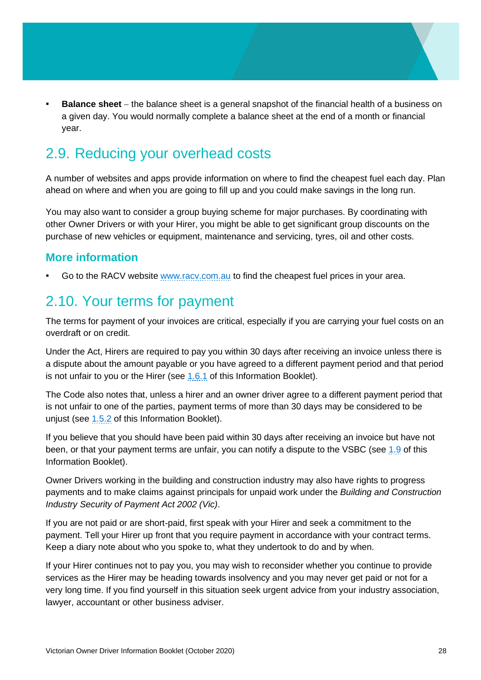**Balance sheet** – the balance sheet is a general snapshot of the financial health of a business on a given day. You would normally complete a balance sheet at the end of a month or financial year.

# <span id="page-27-0"></span>2.9. Reducing your overhead costs

A number of websites and apps provide information on where to find the cheapest fuel each day. Plan ahead on where and when you are going to fill up and you could make savings in the long run.

You may also want to consider a group buying scheme for major purchases. By coordinating with other Owner Drivers or with your Hirer, you might be able to get significant group discounts on the purchase of new vehicles or equipment, maintenance and servicing, tyres, oil and other costs.

#### **More information**

Go to the RACV website www.racy.com.au to find the cheapest fuel prices in your area.

## <span id="page-27-1"></span>2.10. Your terms for payment

The terms for payment of your invoices are critical, especially if you are carrying your fuel costs on an overdraft or on credit.

Under the Act, Hirers are required to pay you within 30 days after receiving an invoice unless there is a dispute about the amount payable or you have agreed to a different payment period and that period is not unfair to you or the Hirer (see  $1.6.1$  of this Information Booklet).

The Code also notes that, unless a hirer and an owner driver agree to a different payment period that is not unfair to one of the parties, payment terms of more than 30 days may be considered to be unjust (see [1.5.2](#page-14-1) of this Information Booklet).

If you believe that you should have been paid within 30 days after receiving an invoice but have not been, or that your payment terms are unfair, you can notify a dispute to the VSBC (see [1.9](#page-18-0) of this Information Booklet).

Owner Drivers working in the building and construction industry may also have rights to progress payments and to make claims against principals for unpaid work under the *Building and Construction Industry Security of Payment Act 2002 (Vic)*.

If you are not paid or are short-paid, first speak with your Hirer and seek a commitment to the payment. Tell your Hirer up front that you require payment in accordance with your contract terms. Keep a diary note about who you spoke to, what they undertook to do and by when.

If your Hirer continues not to pay you, you may wish to reconsider whether you continue to provide services as the Hirer may be heading towards insolvency and you may never get paid or not for a very long time. If you find yourself in this situation seek urgent advice from your industry association, lawyer, accountant or other business adviser.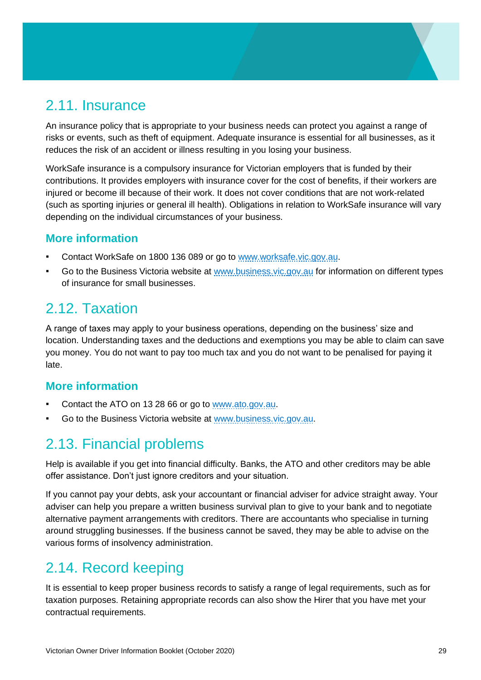# <span id="page-28-0"></span>2.11. Insurance

An insurance policy that is appropriate to your business needs can protect you against a range of risks or events, such as theft of equipment. Adequate insurance is essential for all businesses, as it reduces the risk of an accident or illness resulting in you losing your business.

WorkSafe insurance is a compulsory insurance for Victorian employers that is funded by their contributions. It provides employers with insurance cover for the cost of benefits, if their workers are injured or become ill because of their work. It does not cover conditions that are not work-related (such as sporting injuries or general ill health). Obligations in relation to WorkSafe insurance will vary depending on the individual circumstances of your business.

## **More information**

- Contact WorkSafe on 1800 136 089 or go to [www.worksafe.vic.gov.au.](file://///internal.vic.gov.au/DPC/HomeDirs1/viche8a/Desktop/www.worksafe.vic.gov.au)
- Go to the Business Victoria website at [www.business.vic.gov.au](file://///internal.vic.gov.au/DPC/HomeDirs1/viche8a/Desktop/www.business.vic.gov.au) for information on different types of insurance for small businesses.

## <span id="page-28-1"></span>2.12. Taxation

A range of taxes may apply to your business operations, depending on the business' size and location. Understanding taxes and the deductions and exemptions you may be able to claim can save you money. You do not want to pay too much tax and you do not want to be penalised for paying it late.

## **More information**

- Contact the ATO on 13 28 66 or go to [www.ato.gov.au.](file://///internal.vic.gov.au/DPC/HomeDirs1/viche8a/Desktop/www.ato.gov.au)
- Go to the Business Victoria website at [www.business.vic.gov.au.](file://///internal.vic.gov.au/DPC/HomeDirs1/viche8a/Desktop/www.business.vic.gov.au)

# <span id="page-28-2"></span>2.13. Financial problems

Help is available if you get into financial difficulty. Banks, the ATO and other creditors may be able offer assistance. Don't just ignore creditors and your situation.

If you cannot pay your debts, ask your accountant or financial adviser for advice straight away. Your adviser can help you prepare a written business survival plan to give to your bank and to negotiate alternative payment arrangements with creditors. There are accountants who specialise in turning around struggling businesses. If the business cannot be saved, they may be able to advise on the various forms of insolvency administration.

# <span id="page-28-3"></span>2.14. Record keeping

It is essential to keep proper business records to satisfy a range of legal requirements, such as for taxation purposes. Retaining appropriate records can also show the Hirer that you have met your contractual requirements.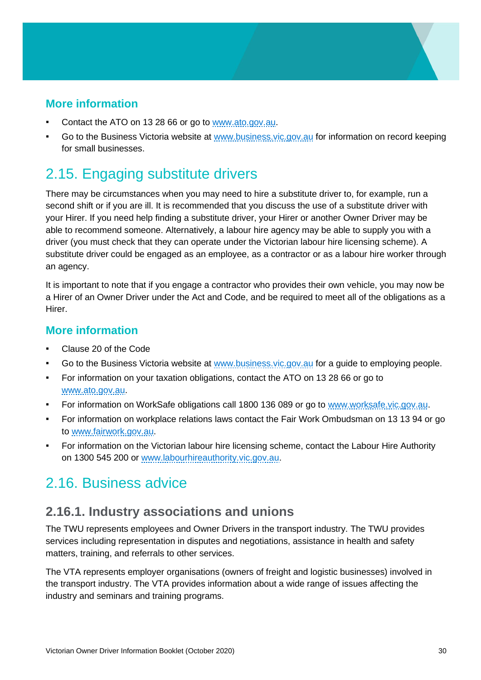## **More information**

- Contact the ATO on 13 28 66 or go to [www.ato.gov.au.](file://///internal.vic.gov.au/DPC/HomeDirs1/viche8a/Desktop/www.ato.gov.au)
- Go to the Business Victoria website at [www.business.vic.gov.au](http://www.business.vic.gov.au/) for information on record keeping for small businesses.

# <span id="page-29-0"></span>2.15. Engaging substitute drivers

There may be circumstances when you may need to hire a substitute driver to, for example, run a second shift or if you are ill. It is recommended that you discuss the use of a substitute driver with your Hirer. If you need help finding a substitute driver, your Hirer or another Owner Driver may be able to recommend someone. Alternatively, a labour hire agency may be able to supply you with a driver (you must check that they can operate under the Victorian labour hire licensing scheme). A substitute driver could be engaged as an employee, as a contractor or as a labour hire worker through an agency.

It is important to note that if you engage a contractor who provides their own vehicle, you may now be a Hirer of an Owner Driver under the Act and Code, and be required to meet all of the obligations as a Hirer.

#### **More information**

- Clause 20 of the Code
- Go to the Business Victoria website at [www.business.vic.gov.au](file://///internal.vic.gov.au/DPC/HomeDirs1/viche8a/Desktop/www.business.vic.gov.au) for a guide to employing people.
- For information on your taxation obligations, contact the ATO on 13 28 66 or go to [www.ato.gov.au.](file://///internal.vic.gov.au/DPC/HomeDirs1/viche8a/Desktop/www.ato.gov.au)
- For information on WorkSafe obligations call 1800 136 089 or go to [www.worksafe.vic.gov.au.](file://///internal.vic.gov.au/DPC/HomeDirs1/viche8a/Desktop/www.worksafe.vic.gov.au)
- For information on workplace relations laws contact the Fair Work Ombudsman on 13 13 94 or go to [www.fairwork.gov.au.](file://///internal.vic.gov.au/DPC/HomeDirs1/viche8a/Desktop/www.fairwork.gov.au)
- For information on the Victorian labour hire licensing scheme, contact the Labour Hire Authority on 1300 545 200 or [www.labourhireauthority.vic.gov.au.](file://///internal.vic.gov.au/DPC/HomeDirs1/viche8a/Desktop/www.labourhireauthority.vic.gov.au)

# <span id="page-29-1"></span>2.16. Business advice

## **2.16.1. Industry associations and unions**

The TWU represents employees and Owner Drivers in the transport industry. The TWU provides services including representation in disputes and negotiations, assistance in health and safety matters, training, and referrals to other services.

The VTA represents employer organisations (owners of freight and logistic businesses) involved in the transport industry. The VTA provides information about a wide range of issues affecting the industry and seminars and training programs.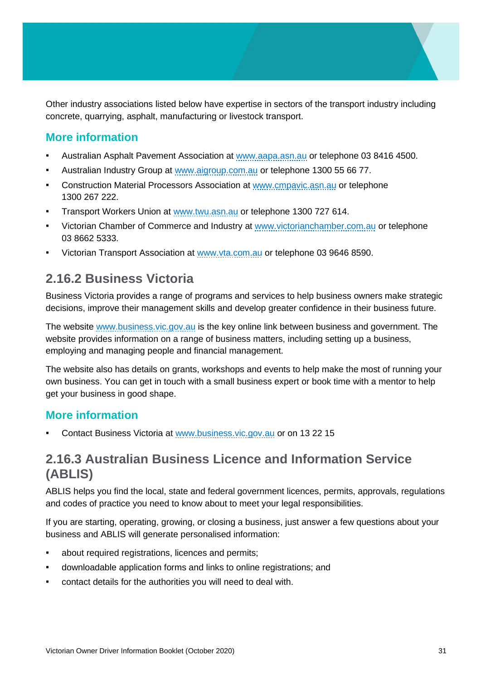Other industry associations listed below have expertise in sectors of the transport industry including concrete, quarrying, asphalt, manufacturing or livestock transport.

## **More information**

- Australian Asphalt Pavement Association at [www.aapa.asn.au](file://///internal.vic.gov.au/DPC/HomeDirs1/viche8a/Desktop/www.aapa.asn.au) or telephone 03 8416 4500.
- **EXECT** Australian Industry Group at [www.aigroup.com.au](file://///internal.vic.gov.au/DPC/HomeDirs1/viche8a/Desktop/www.aigroup.com.au) or telephone 1300 55 66 77.
- **EXECONSTRET Construction Material Processors Association at [www.cmpavic.asn.au](file://///internal.vic.gov.au/DPC/HomeDirs1/viche8a/Desktop/www.cmpavic.asn.au) or telephone** 1300 267 222.
- Transport Workers Union at [www.twu.asn.au](file://///internal.vic.gov.au/DPC/HomeDirs1/viche8a/Desktop/www.twu.asn.au) or telephone 1300 727 614.
- Victorian Chamber of Commerce and Industry at [www.victorianchamber.com.au](file://///internal.vic.gov.au/DPC/HomeDirs1/viche8a/Desktop/www.victorianchamber.com.au) or telephone 03 8662 5333.
- Victorian Transport Association at [www.vta.com.au](file://///internal.vic.gov.au/DPC/HomeDirs1/viche8a/Desktop/www.vta.com.au) or telephone 03 9646 8590.

## **2.16.2 Business Victoria**

Business Victoria provides a range of programs and services to help business owners make strategic decisions, improve their management skills and develop greater confidence in their business future.

The website [www.business.vic.gov.au](http://www.business.vic.gov.au/) is the key online link between business and government. The website provides information on a range of business matters, including setting up a business, employing and managing people and financial management.

The website also has details on grants, workshops and events to help make the most of running your own business. You can get in touch with a small business expert or book time with a mentor to help get your business in good shape.

#### **More information**

Contact Business Victoria at [www.business.vic.gov.au](file://///internal.vic.gov.au/DPC/HomeDirs1/viche8a/Desktop/www.business.vic.gov.au) or on 13 22 15

## **2.16.3 Australian Business Licence and Information Service (ABLIS)**

ABLIS helps you find the local, state and federal government licences, permits, approvals, regulations and codes of practice you need to know about to meet your legal responsibilities.

If you are starting, operating, growing, or closing a business, just answer a few questions about your business and ABLIS will generate personalised information:

- about required registrations, licences and permits;
- downloadable application forms and links to online registrations; and
- contact details for the authorities you will need to deal with.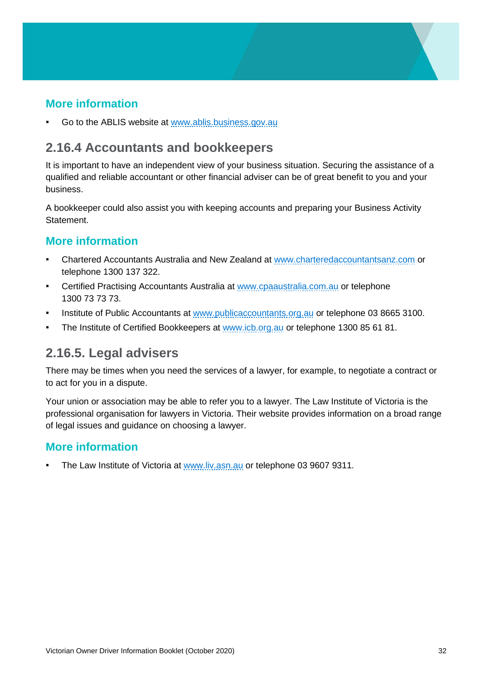## **More information**

Go to the ABLIS website at [www.ablis.business.gov.au](file://///internal.vic.gov.au/DPC/HomeDirs1/viche8a/Desktop/www.ablis.business.gov.au)

## **2.16.4 Accountants and bookkeepers**

It is important to have an independent view of your business situation. Securing the assistance of a qualified and reliable accountant or other financial adviser can be of great benefit to you and your business.

A bookkeeper could also assist you with keeping accounts and preparing your Business Activity Statement.

## **More information**

- **Chartered Accountants Australia and New Zealand at [www.charteredaccountantsanz.com](file://///internal.vic.gov.au/DPC/HomeDirs1/viche8a/Desktop/www.charteredaccountantsanz.com) or** telephone 1300 137 322.
- **Certified Practising Accountants Australia at [www.cpaaustralia.com.au](http://www.cpaaustralia.com.au/) or telephone** 1300 73 73 73.
- Institute of Public Accountants at [www.publicaccountants.org.au](file://///internal.vic.gov.au/DPC/HomeDirs1/viche8a/Desktop/www.publicaccountants.org.au) or telephone 03 8665 3100.
- The Institute of Certified Bookkeepers at [www.icb.org.au](file://///internal.vic.gov.au/DPC/HomeDirs1/viche8a/Desktop/www.icb.org.au) or telephone 1300 85 61 81.

## **2.16.5. Legal advisers**

There may be times when you need the services of a lawyer, for example, to negotiate a contract or to act for you in a dispute.

Your union or association may be able to refer you to a lawyer. The Law Institute of Victoria is the professional organisation for lawyers in Victoria. Their website provides information on a broad range of legal issues and guidance on choosing a lawyer.

## **More information**

The Law Institute of Victoria at [www.liv.asn.au](http://www.liv.asn.au/) or telephone 03 9607 9311.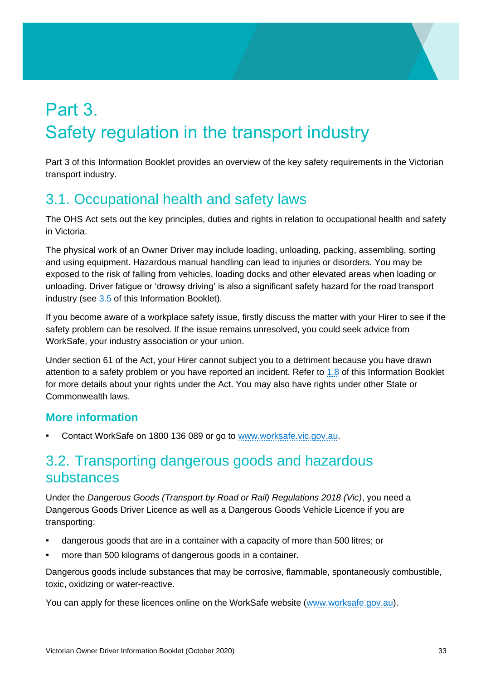# <span id="page-32-0"></span>Part 3. Safety regulation in the transport industry

Part 3 of this Information Booklet provides an overview of the key safety requirements in the Victorian transport industry.

# <span id="page-32-1"></span>3.1. Occupational health and safety laws

The OHS Act sets out the key principles, duties and rights in relation to occupational health and safety in Victoria.

The physical work of an Owner Driver may include loading, unloading, packing, assembling, sorting and using equipment. Hazardous manual handling can lead to injuries or disorders. You may be exposed to the risk of falling from vehicles, loading docks and other elevated areas when loading or unloading. Driver fatigue or 'drowsy driving' is also a significant safety hazard for the road transport industry (see [3.5](#page-34-0) of this Information Booklet).

If you become aware of a workplace safety issue, firstly discuss the matter with your Hirer to see if the safety problem can be resolved. If the issue remains unresolved, you could seek advice from WorkSafe, your industry association or your union.

Under section 61 of the Act, your Hirer cannot subject you to a detriment because you have drawn attention to a safety problem or you have reported an incident. Refer to [1.8](#page-17-0) of this Information Booklet for more details about your rights under the Act. You may also have rights under other State or Commonwealth laws.

## **More information**

Contact WorkSafe on 1800 136 089 or go to [www.worksafe.vic.gov.au.](file://///internal.vic.gov.au/DPC/HomeDirs1/viche8a/Desktop/www.worksafe.vic.gov.au)

# <span id="page-32-2"></span>3.2. Transporting dangerous goods and hazardous substances

Under the *Dangerous Goods (Transport by Road or Rail) Regulations 2018 (Vic)*, you need a Dangerous Goods Driver Licence as well as a Dangerous Goods Vehicle Licence if you are transporting:

- dangerous goods that are in a container with a capacity of more than 500 litres; or
- more than 500 kilograms of dangerous goods in a container.

Dangerous goods include substances that may be corrosive, flammable, spontaneously combustible, toxic, oxidizing or water-reactive.

You can apply for these licences online on the WorkSafe website [\(www.worksafe.gov.au\)](file://///internal.vic.gov.au/DPC/HomeDirs1/viche8a/Desktop/www.worksafe.gov.au).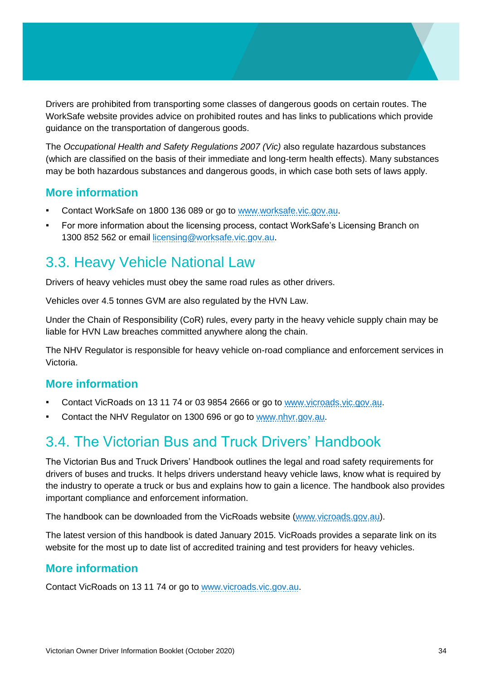Drivers are prohibited from transporting some classes of dangerous goods on certain routes. The WorkSafe website provides advice on prohibited routes and has links to publications which provide guidance on the transportation of dangerous goods.

The *Occupational Health and Safety Regulations 2007 (Vic)* also regulate hazardous substances (which are classified on the basis of their immediate and long-term health effects). Many substances may be both hazardous substances and dangerous goods, in which case both sets of laws apply.

#### **More information**

- Contact WorkSafe on 1800 136 089 or go to [www.worksafe.vic.gov.au.](file://///internal.vic.gov.au/DPC/HomeDirs1/viche8a/Desktop/www.worksafe.vic.gov.au)
- For more information about the licensing process, contact WorkSafe's Licensing Branch on 1300 852 562 or email [licensing@worksafe.vic.gov.au.](mailto:licensing@worksafe.vic.gov.au)

# <span id="page-33-0"></span>3.3. Heavy Vehicle National Law

Drivers of heavy vehicles must obey the same road rules as other drivers.

Vehicles over 4.5 tonnes GVM are also regulated by the HVN Law.

Under the Chain of Responsibility (CoR) rules, every party in the heavy vehicle supply chain may be liable for HVN Law breaches committed anywhere along the chain.

The NHV Regulator is responsible for heavy vehicle on-road compliance and enforcement services in Victoria.

## **More information**

- Contact VicRoads on 13 11 74 or 03 9854 2666 or go to [www.vicroads.vic.gov.au.](file://///internal.vic.gov.au/DPC/HomeDirs1/viche8a/Desktop/www.vicroads.vic.gov.au)
- Contact the NHV Regulator on 1300 696 or go to [www.nhvr.gov.au.](file://///internal.vic.gov.au/DPC/HomeDirs1/viche8a/Desktop/www.nhvr.gov.au)

# <span id="page-33-1"></span>3.4. The Victorian Bus and Truck Drivers' Handbook

The Victorian Bus and Truck Drivers' Handbook outlines the legal and road safety requirements for drivers of buses and trucks. It helps drivers understand heavy vehicle laws, know what is required by the industry to operate a truck or bus and explains how to gain a licence. The handbook also provides important compliance and enforcement information.

The handbook can be downloaded from the VicRoads website [\(www.vicroads.gov.au\)](file://///internal.vic.gov.au/DPC/HomeDirs1/viche8a/Desktop/www.vicroads.gov.au).

The latest version of this handbook is dated January 2015. VicRoads provides a separate link on its website for the most up to date list of accredited training and test providers for heavy vehicles.

#### **More information**

Contact VicRoads on 13 11 74 or go to [www.vicroads.vic.gov.au.](file://///internal.vic.gov.au/DPC/HomeDirs1/viche8a/Desktop/www.vicroads.vic.gov.au)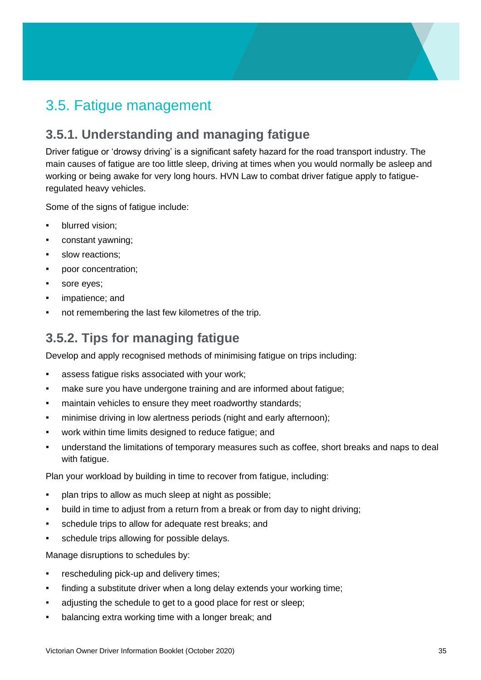# <span id="page-34-0"></span>3.5. Fatigue management

## **3.5.1. Understanding and managing fatigue**

Driver fatigue or 'drowsy driving' is a significant safety hazard for the road transport industry. The main causes of fatigue are too little sleep, driving at times when you would normally be asleep and working or being awake for very long hours. HVN Law to combat driver fatigue apply to fatigueregulated heavy vehicles.

Some of the signs of fatigue include:

- blurred vision:
- constant yawning;
- slow reactions:
- poor concentration;
- sore eyes;
- impatience; and
- not remembering the last few kilometres of the trip.

## **3.5.2. Tips for managing fatigue**

Develop and apply recognised methods of minimising fatigue on trips including:

- assess fatigue risks associated with your work;
- **make sure you have undergone training and are informed about fatigue;**
- **EXEDENT** maintain vehicles to ensure they meet roadworthy standards;
- minimise driving in low alertness periods (night and early afternoon);
- work within time limits designed to reduce fatigue; and
- understand the limitations of temporary measures such as coffee, short breaks and naps to deal with fatique.

Plan your workload by building in time to recover from fatigue, including:

- **•** plan trips to allow as much sleep at night as possible;
- build in time to adjust from a return from a break or from day to night driving;
- schedule trips to allow for adequate rest breaks; and
- schedule trips allowing for possible delays.

Manage disruptions to schedules by:

- rescheduling pick-up and delivery times;
- **•** finding a substitute driver when a long delay extends your working time;
- adjusting the schedule to get to a good place for rest or sleep;
- balancing extra working time with a longer break; and